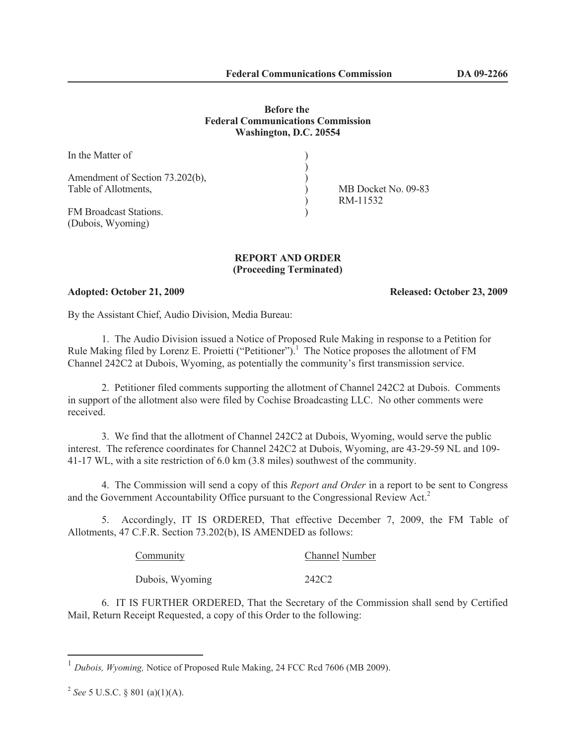## **Before the Federal Communications Commission Washington, D.C. 20554**

| In the Matter of                                        |  |
|---------------------------------------------------------|--|
| Amendment of Section 73.202(b),<br>Table of Allotments, |  |
| <b>FM</b> Broadcast Stations.<br>(Dubois, Wyoming)      |  |

MB Docket No. 09-83 ) RM-11532

**REPORT AND ORDER (Proceeding Terminated)**

**Adopted: October 21, 2009 Released: October 23, 2009**

By the Assistant Chief, Audio Division, Media Bureau:

1. The Audio Division issued a Notice of Proposed Rule Making in response to a Petition for Rule Making filed by Lorenz E. Proietti ("Petitioner").<sup>1</sup> The Notice proposes the allotment of FM Channel 242C2 at Dubois, Wyoming, as potentially the community's first transmission service.

2. Petitioner filed comments supporting the allotment of Channel 242C2 at Dubois. Comments in support of the allotment also were filed by Cochise Broadcasting LLC. No other comments were received.

3. We find that the allotment of Channel 242C2 at Dubois, Wyoming, would serve the public interest. The reference coordinates for Channel 242C2 at Dubois, Wyoming, are 43-29-59 NL and 109- 41-17 WL, with a site restriction of 6.0 km (3.8 miles) southwest of the community.

4. The Commission will send a copy of this *Report and Order* in a report to be sent to Congress and the Government Accountability Office pursuant to the Congressional Review Act.<sup>2</sup>

5. Accordingly, IT IS ORDERED, That effective December 7, 2009, the FM Table of Allotments, 47 C.F.R. Section 73.202(b), IS AMENDED as follows:

| Community       | <b>Channel Number</b> |
|-----------------|-----------------------|
| Dubois, Wyoming | 242C2                 |

6. IT IS FURTHER ORDERED, That the Secretary of the Commission shall send by Certified Mail, Return Receipt Requested, a copy of this Order to the following:

<sup>&</sup>lt;sup>1</sup> Dubois, Wyoming, Notice of Proposed Rule Making, 24 FCC Rcd 7606 (MB 2009).

<sup>2</sup> *See* 5 U.S.C. § 801 (a)(1)(A).